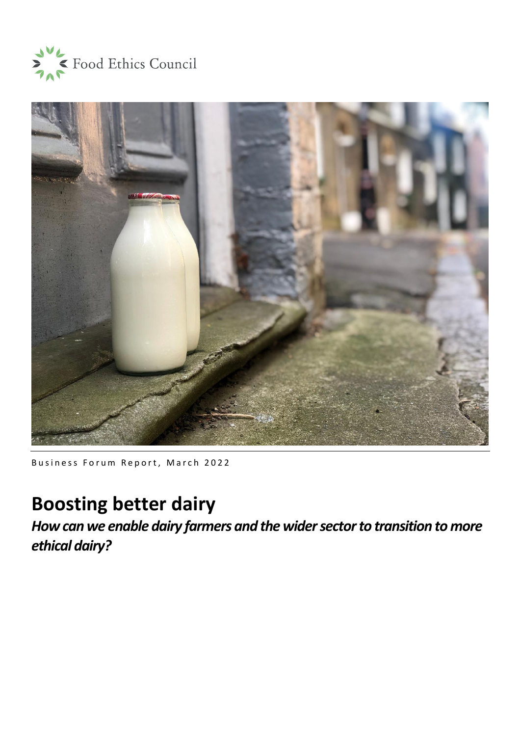



Business Forum Report, March 2022

# **Boosting better dairy**

*How can we enable dairy farmers and the wider sector to transition to more ethical dairy?*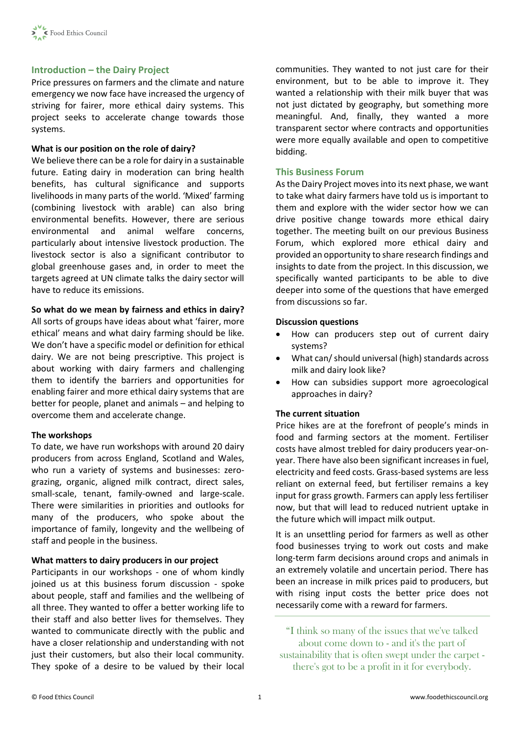## **Introduction – the Dairy Project**

Price pressures on farmers and the climate and nature emergency we now face have increased the urgency of striving for fairer, more ethical dairy systems. This project seeks to accelerate change towards those systems.

## **What is our position on the role of dairy?**

We believe there can be a role for dairy in a sustainable future. Eating dairy in moderation can bring health benefits, has cultural significance and supports livelihoods in many parts of the world. 'Mixed' farming (combining livestock with arable) can also bring environmental benefits. However, there are serious environmental and animal welfare concerns, particularly about intensive livestock production. The livestock sector is also a significant contributor to global greenhouse gases and, in order to meet the targets agreed at UN climate talks the dairy sector will have to reduce its emissions.

## **So what do we mean by fairness and ethics in dairy?**

All sorts of groups have ideas about what 'fairer, more ethical' means and what dairy farming should be like. We don't have a specific model or definition for ethical dairy. We are not being prescriptive. This project is about working with dairy farmers and challenging them to identify the barriers and opportunities for enabling fairer and more ethical dairy systems that are better for people, planet and animals – and helping to overcome them and accelerate change.

#### **The workshops**

To date, we have run workshops with around 20 dairy producers from across England, Scotland and Wales, who run a variety of systems and businesses: zerograzing, organic, aligned milk contract, direct sales, small-scale, tenant, family-owned and large-scale. There were similarities in priorities and outlooks for many of the producers, who spoke about the importance of family, longevity and the wellbeing of staff and people in the business.

## **What matters to dairy producers in our project**

Participants in our workshops - one of whom kindly joined us at this business forum discussion - spoke about people, staff and families and the wellbeing of all three. They wanted to offer a better working life to their staff and also better lives for themselves. They wanted to communicate directly with the public and have a closer relationship and understanding with not just their customers, but also their local community. They spoke of a desire to be valued by their local communities. They wanted to not just care for their environment, but to be able to improve it. They wanted a relationship with their milk buyer that was not just dictated by geography, but something more meaningful. And, finally, they wanted a more transparent sector where contracts and opportunities were more equally available and open to competitive bidding.

## **This Business Forum**

As the Dairy Project moves into its next phase, we want to take what dairy farmers have told us is important to them and explore with the wider sector how we can drive positive change towards more ethical dairy together. The meeting built on our previous Business Forum, which explored more ethical dairy and provided an opportunity to share research findings and insights to date from the project. In this discussion, we specifically wanted participants to be able to dive deeper into some of the questions that have emerged from discussions so far.

## **Discussion questions**

- How can producers step out of current dairy systems?
- What can/ should universal (high) standards across milk and dairy look like?
- How can subsidies support more agroecological approaches in dairy?

## **The current situation**

Price hikes are at the forefront of people's minds in food and farming sectors at the moment. Fertiliser costs have almost trebled for dairy producers year-onyear. There have also been significant increases in fuel, electricity and feed costs. Grass-based systems are less reliant on external feed, but fertiliser remains a key input for grass growth. Farmers can apply less fertiliser now, but that will lead to reduced nutrient uptake in the future which will impact milk output.

It is an unsettling period for farmers as well as other food businesses trying to work out costs and make long-term farm decisions around crops and animals in an extremely volatile and uncertain period. There has been an increase in milk prices paid to producers, but with rising input costs the better price does not necessarily come with a reward for farmers.

"I think so many of the issues that we've talked about come down to - and it's the part of sustainability that is often swept under the carpet there's got to be a profit in it for everybody.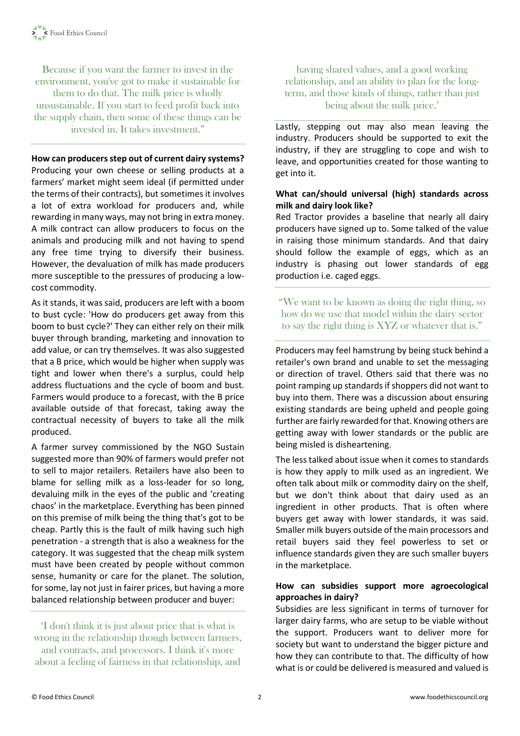Because if you want the farmer to invest in the environment, you've got to make it sustainable for them to do that. The milk price is wholly unsustainable. If you start to feed profit back into the supply chain, then some of these things can be invested in. It takes investment."

**How can producers step out of current dairy systems?**

Producing your own cheese or selling products at a farmers' market might seem ideal (if permitted under the terms of their contracts), but sometimes it involves a lot of extra workload for producers and, while rewarding in many ways, may not bring in extra money. A milk contract can allow producers to focus on the animals and producing milk and not having to spend any free time trying to diversify their business. However, the devaluation of milk has made producers more susceptible to the pressures of producing a lowcost commodity.

As it stands, it was said, producers are left with a boom to bust cycle: 'How do producers get away from this boom to bust cycle?' They can either rely on their milk buyer through branding, marketing and innovation to add value, or can try themselves. It was also suggested that a B price, which would be higher when supply was tight and lower when there's a surplus, could help address fluctuations and the cycle of boom and bust. Farmers would produce to a forecast, with the B price available outside of that forecast, taking away the contractual necessity of buyers to take all the milk produced.

A farmer survey commissioned by the NGO Sustain suggested more than 90% of farmers would prefer not to sell to major retailers. Retailers have also been to blame for selling milk as a loss-leader for so long, devaluing milk in the eyes of the public and 'creating chaos' in the marketplace. Everything has been pinned on this premise of milk being the thing that's got to be cheap. Partly this is the fault of milk having such high penetration - a strength that is also a weakness for the category. It was suggested that the cheap milk system must have been created by people without common sense, humanity or care for the planet. The solution, for some, lay not just in fairer prices, but having a more balanced relationship between producer and buyer:

'I don't think it is just about price that is what is wrong in the relationship though between farmers, and contracts, and processors. I think it's more about a feeling of fairness in that relationship, and

having shared values, and a good working relationship, and an ability to plan for the longterm, and those kinds of things, rather than just being about the milk price.'

Lastly, stepping out may also mean leaving the industry. Producers should be supported to exit the industry, if they are struggling to cope and wish to leave, and opportunities created for those wanting to get into it.

# **What can/should universal (high) standards across milk and dairy look like?**

Red Tractor provides a baseline that nearly all dairy producers have signed up to. Some talked of the value in raising those minimum standards. And that dairy should follow the example of eggs, which as an industry is phasing out lower standards of egg production i.e. caged eggs.

"We want to be known as doing the right thing, so how do we use that model within the dairy sector to say the right thing is XYZ or whatever that is."

Producers may feel hamstrung by being stuck behind a retailer's own brand and unable to set the messaging or direction of travel. Others said that there was no point ramping up standards if shoppers did not want to buy into them. There was a discussion about ensuring existing standards are being upheld and people going further are fairly rewarded for that. Knowing others are getting away with lower standards or the public are being misled is disheartening.

The less talked about issue when it comes to standards is how they apply to milk used as an ingredient. We often talk about milk or commodity dairy on the shelf, but we don't think about that dairy used as an ingredient in other products. That is often where buyers get away with lower standards, it was said. Smaller milk buyers outside of the main processors and retail buyers said they feel powerless to set or influence standards given they are such smaller buyers in the marketplace.

# **How can subsidies support more agroecological approaches in dairy?**

Subsidies are less significant in terms of turnover for larger dairy farms, who are setup to be viable without the support. Producers want to deliver more for society but want to understand the bigger picture and how they can contribute to that. The difficulty of how what is or could be delivered is measured and valued is